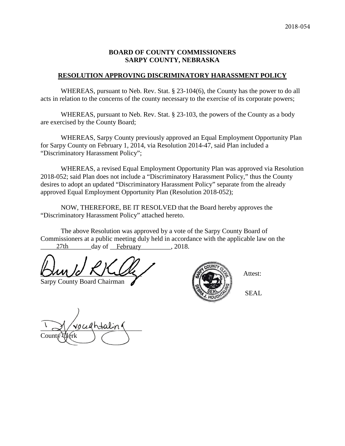#### **BOARD OF COUNTY COMMISSIONERS SARPY COUNTY, NEBRASKA**

#### **RESOLUTION APPROVING DISCRIMINATORY HARASSMENT POLICY**

WHEREAS, pursuant to Neb. Rev. Stat. § 23-104(6), the County has the power to do all acts in relation to the concerns of the county necessary to the exercise of its corporate powers;

WHEREAS, pursuant to Neb. Rev. Stat. § 23-103, the powers of the County as a body are exercised by the County Board;

WHEREAS, Sarpy County previously approved an Equal Employment Opportunity Plan for Sarpy County on February 1, 2014, via Resolution 2014-47, said Plan included a "Discriminatory Harassment Policy";

WHEREAS, a revised Equal Employment Opportunity Plan was approved via Resolution 2018-052; said Plan does not include a "Discriminatory Harassment Policy," thus the County desires to adopt an updated "Discriminatory Harassment Policy" separate from the already approved Equal Employment Opportunity Plan (Resolution 2018-052);

NOW, THEREFORE, BE IT RESOLVED that the Board hereby approves the "Discriminatory Harassment Policy" attached hereto.

The above Resolution was approved by a vote of the Sarpy County Board of Commissioners at a public meeting duly held in accordance with the applicable law on the 27th day of February 2018.

 $\mathcal{L}$   $\mathcal{L}$   $\mathcal{L}$   $\mathcal{L}$   $\mathcal{L}$   $\mathcal{L}$   $\mathcal{L}$   $\mathcal{L}$   $\mathcal{L}$   $\mathcal{L}$   $\mathcal{L}$   $\mathcal{L}$   $\mathcal{L}$   $\mathcal{L}$   $\mathcal{L}$   $\mathcal{L}$   $\mathcal{L}$   $\mathcal{L}$   $\mathcal{L}$   $\mathcal{L}$   $\mathcal{L}$   $\mathcal{L}$   $\mathcal{L}$   $\mathcal{L}$   $\mathcal{$ 

Sarpy County Board Chairman

County Clerk



SEAL

ocedhtalin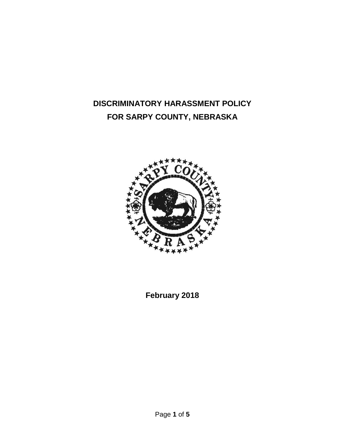# **DISCRIMINATORY HARASSMENT POLICY FOR SARPY COUNTY, NEBRASKA**



**February 2018**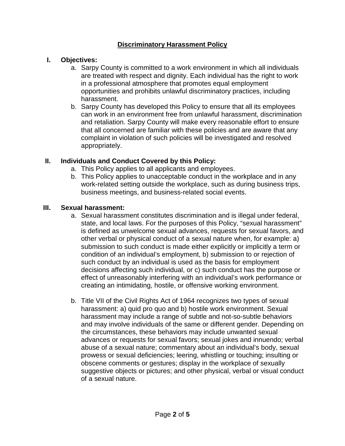# **Discriminatory Harassment Policy**

## **I. Objectives:**

- a. Sarpy County is committed to a work environment in which all individuals are treated with respect and dignity. Each individual has the right to work in a professional atmosphere that promotes equal employment opportunities and prohibits unlawful discriminatory practices, including harassment.
- b. Sarpy County has developed this Policy to ensure that all its employees can work in an environment free from unlawful harassment, discrimination and retaliation. Sarpy County will make every reasonable effort to ensure that all concerned are familiar with these policies and are aware that any complaint in violation of such policies will be investigated and resolved appropriately.

## **II. Individuals and Conduct Covered by this Policy:**

- a. This Policy applies to all applicants and employees.
- b. This Policy applies to unacceptable conduct in the workplace and in any work-related setting outside the workplace, such as during business trips, business meetings, and business-related social events.

## **III. Sexual harassment:**

- a. Sexual harassment constitutes discrimination and is illegal under federal, state, and local laws. For the purposes of this Policy, "sexual harassment" is defined as unwelcome sexual advances, requests for sexual favors, and other verbal or physical conduct of a sexual nature when, for example: a) submission to such conduct is made either explicitly or implicitly a term or condition of an individual's employment, b) submission to or rejection of such conduct by an individual is used as the basis for employment decisions affecting such individual, or c) such conduct has the purpose or effect of unreasonably interfering with an individual's work performance or creating an intimidating, hostile, or offensive working environment.
- b. Title VII of the Civil Rights Act of 1964 recognizes two types of sexual harassment: a) quid pro quo and b) hostile work environment. Sexual harassment may include a range of subtle and not-so-subtle behaviors and may involve individuals of the same or different gender. Depending on the circumstances, these behaviors may include unwanted sexual advances or requests for sexual favors; sexual jokes and innuendo; verbal abuse of a sexual nature; commentary about an individual's body, sexual prowess or sexual deficiencies; leering, whistling or touching; insulting or obscene comments or gestures; display in the workplace of sexually suggestive objects or pictures; and other physical, verbal or visual conduct of a sexual nature.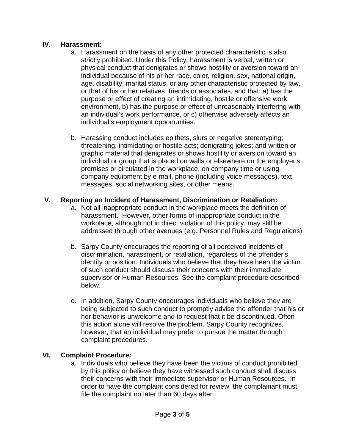#### **IV. Harassment:**

- a. Harassment on the basis of any other protected characteristic is also strictly prohibited. Under this Policy, harassment is verbal, written or physical conduct that denigrates or shows hostility or aversion toward an individual because of his or her race, color, religion, sex, national origin, age, disability, marital status, or any other characteristic protected by law, or that of his or her relatives, friends or associates, and that: a) has the purpose or effect of creating an intimidating, hostile or offensive work environment, b) has the purpose or effect of unreasonably interfering with an individual's work performance, or c) otherwise adversely affects an individual's employment opportunities.
- b. Harassing conduct includes epithets, slurs or negative stereotyping; threatening, intimidating or hostile acts; denigrating jokes; and written or graphic material that denigrates or shows hostility or aversion toward an individual or group that is placed on walls or elsewhere on the employer's premises or circulated in the workplace, on company time or using company equipment by e-mail, phone (including voice messages), text messages, social networking sites, or other means.

#### **V. Reporting an Incident of Harassment, Discrimination or Retaliation:**

- a. Not all inappropriate conduct in the workplace meets the definition of harassment. However, other forms of inappropriate conduct in the workplace, although not in direct violation of this policy, may still be addressed through other avenues (e.g. Personnel Rules and Regulations).
- b. Sarpy County encourages the reporting of all perceived incidents of discrimination, harassment, or retaliation, regardless of the offender's identity or position. Individuals who believe that they have been the victim of such conduct should discuss their concerns with their immediate supervisor or Human Resources. See the complaint procedure described below.
- c. In addition, Sarpy County encourages individuals who believe they are being subjected to such conduct to promptly advise the offender that his or her behavior is unwelcome and to request that it be discontinued. Often this action alone will resolve the problem. Sarpy County recognizes, however, that an individual may prefer to pursue the matter through complaint procedures.

#### **VI. Complaint Procedure:**

a. Individuals who believe they have been the victims of conduct prohibited by this policy or believe they have witnessed such conduct shall discuss their concerns with their immediate supervisor or Human Resources. In order to have the complaint considered for review, the complainant must file the complaint no later than 60 days after: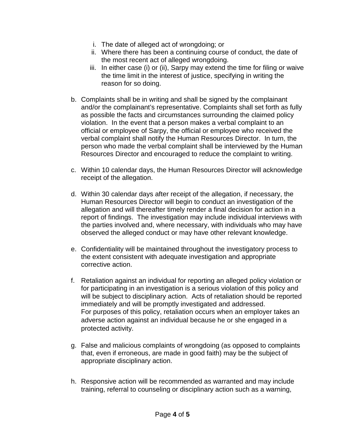- i. The date of alleged act of wrongdoing; or
- ii. Where there has been a continuing course of conduct, the date of the most recent act of alleged wrongdoing.
- iii. In either case (i) or (ii), Sarpy may extend the time for filing or waive the time limit in the interest of justice, specifying in writing the reason for so doing.
- b. Complaints shall be in writing and shall be signed by the complainant and/or the complainant's representative. Complaints shall set forth as fully as possible the facts and circumstances surrounding the claimed policy violation. In the event that a person makes a verbal complaint to an official or employee of Sarpy, the official or employee who received the verbal complaint shall notify the Human Resources Director. In turn, the person who made the verbal complaint shall be interviewed by the Human Resources Director and encouraged to reduce the complaint to writing.
- c. Within 10 calendar days, the Human Resources Director will acknowledge receipt of the allegation.
- d. Within 30 calendar days after receipt of the allegation, if necessary, the Human Resources Director will begin to conduct an investigation of the allegation and will thereafter timely render a final decision for action in a report of findings. The investigation may include individual interviews with the parties involved and, where necessary, with individuals who may have observed the alleged conduct or may have other relevant knowledge.
- e. Confidentiality will be maintained throughout the investigatory process to the extent consistent with adequate investigation and appropriate corrective action.
- f. Retaliation against an individual for reporting an alleged policy violation or for participating in an investigation is a serious violation of this policy and will be subject to disciplinary action. Acts of retaliation should be reported immediately and will be promptly investigated and addressed. For purposes of this policy, retaliation occurs when an employer takes an adverse action against an individual because he or she engaged in a protected activity.
- g. False and malicious complaints of wrongdoing (as opposed to complaints that, even if erroneous, are made in good faith) may be the subject of appropriate disciplinary action.
- h. Responsive action will be recommended as warranted and may include training, referral to counseling or disciplinary action such as a warning,